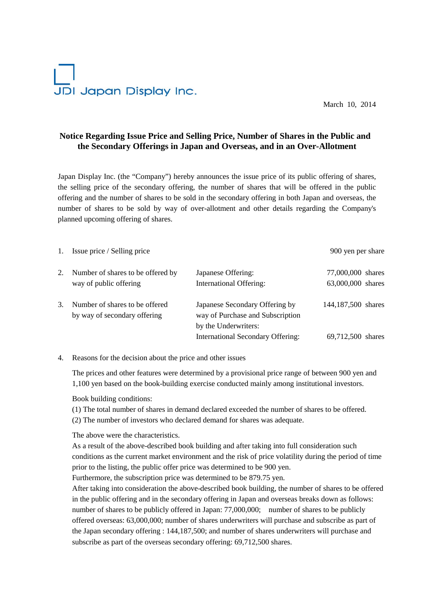# JDI Japan Display Inc.

March 10, 2014

## **Notice Regarding Issue Price and Selling Price, Number of Shares in the Public and the Secondary Offerings in Japan and Overseas, and in an Over-Allotment**

Japan Display Inc. (the "Company") hereby announces the issue price of its public offering of shares, the selling price of the secondary offering, the number of shares that will be offered in the public offering and the number of shares to be sold in the secondary offering in both Japan and overseas, the number of shares to be sold by way of over-allotment and other details regarding the Company's planned upcoming offering of shares.

| 1. | Issue price / Selling price                                    |                                                                                            | 900 yen per share                      |
|----|----------------------------------------------------------------|--------------------------------------------------------------------------------------------|----------------------------------------|
| 2. | Number of shares to be offered by<br>way of public offering    | Japanese Offering:<br><b>International Offering:</b>                                       | 77,000,000 shares<br>63,000,000 shares |
| 3. | Number of shares to be offered<br>by way of secondary offering | Japanese Secondary Offering by<br>way of Purchase and Subscription<br>by the Underwriters: | 144,187,500 shares                     |
|    |                                                                | International Secondary Offering:                                                          | 69,712,500 shares                      |

#### 4. Reasons for the decision about the price and other issues

The prices and other features were determined by a provisional price range of between 900 yen and 1,100 yen based on the book-building exercise conducted mainly among institutional investors.

Book building conditions:

(1) The total number of shares in demand declared exceeded the number of shares to be offered.

(2) The number of investors who declared demand for shares was adequate.

The above were the characteristics.

As a result of the above-described book building and after taking into full consideration such conditions as the current market environment and the risk of price volatility during the period of time prior to the listing, the public offer price was determined to be 900 yen.

Furthermore, the subscription price was determined to be 879.75 yen.

After taking into consideration the above-described book building, the number of shares to be offered in the public offering and in the secondary offering in Japan and overseas breaks down as follows: number of shares to be publicly offered in Japan: 77,000,000; number of shares to be publicly offered overseas: 63,000,000; number of shares underwriters will purchase and subscribe as part of the Japan secondary offering : 144,187,500; and number of shares underwriters will purchase and subscribe as part of the overseas secondary offering: 69,712,500 shares.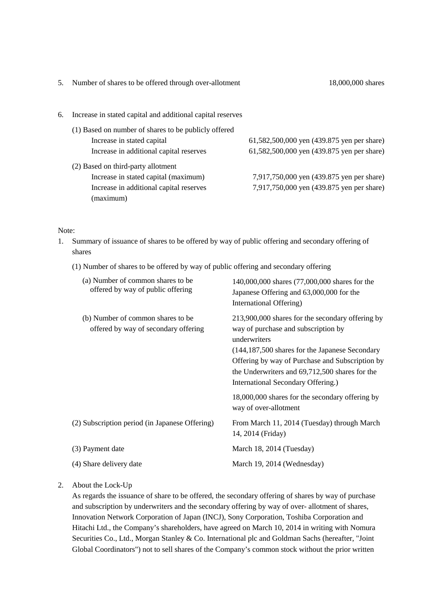|    | 5. Number of shares to be offered through over-allotment   | 18,000,000 shares                          |
|----|------------------------------------------------------------|--------------------------------------------|
| 6. | Increase in stated capital and additional capital reserves |                                            |
|    | (1) Based on number of shares to be publicly offered       |                                            |
|    | Increase in stated capital                                 | 61,582,500,000 yen (439.875 yen per share) |
|    | Increase in additional capital reserves                    | 61,582,500,000 yen (439.875 yen per share) |
|    | (2) Based on third-party allotment                         |                                            |
|    | Increase in stated capital (maximum)                       | 7,917,750,000 yen (439.875 yen per share)  |
|    | Increase in additional capital reserves<br>(maximum)       | 7,917,750,000 yen (439.875 yen per share)  |

#### Note:

- 1. Summary of issuance of shares to be offered by way of public offering and secondary offering of shares
	- (1) Number of shares to be offered by way of public offering and secondary offering

| (a) Number of common shares to be<br>offered by way of public offering    | 140,000,000 shares (77,000,000 shares for the<br>Japanese Offering and 63,000,000 for the<br>International Offering)                                                                                                                                                                                 |
|---------------------------------------------------------------------------|------------------------------------------------------------------------------------------------------------------------------------------------------------------------------------------------------------------------------------------------------------------------------------------------------|
| (b) Number of common shares to be<br>offered by way of secondary offering | 213,900,000 shares for the secondary offering by<br>way of purchase and subscription by<br>underwriters<br>(144,187,500 shares for the Japanese Secondary<br>Offering by way of Purchase and Subscription by<br>the Underwriters and 69,712,500 shares for the<br>International Secondary Offering.) |
|                                                                           | 18,000,000 shares for the secondary offering by<br>way of over-allotment                                                                                                                                                                                                                             |
| (2) Subscription period (in Japanese Offering)                            | From March 11, 2014 (Tuesday) through March<br>14, 2014 (Friday)                                                                                                                                                                                                                                     |
| (3) Payment date                                                          | March 18, 2014 (Tuesday)                                                                                                                                                                                                                                                                             |
| (4) Share delivery date                                                   | March 19, 2014 (Wednesday)                                                                                                                                                                                                                                                                           |
|                                                                           |                                                                                                                                                                                                                                                                                                      |

### 2. About the Lock-Up

As regards the issuance of share to be offered, the secondary offering of shares by way of purchase and subscription by underwriters and the secondary offering by way of over- allotment of shares, Innovation Network Corporation of Japan (INCJ), Sony Corporation, Toshiba Corporation and Hitachi Ltd., the Company's shareholders, have agreed on March 10, 2014 in writing with Nomura Securities Co., Ltd., Morgan Stanley & Co. International plc and Goldman Sachs (hereafter, "Joint Global Coordinators") not to sell shares of the Company's common stock without the prior written